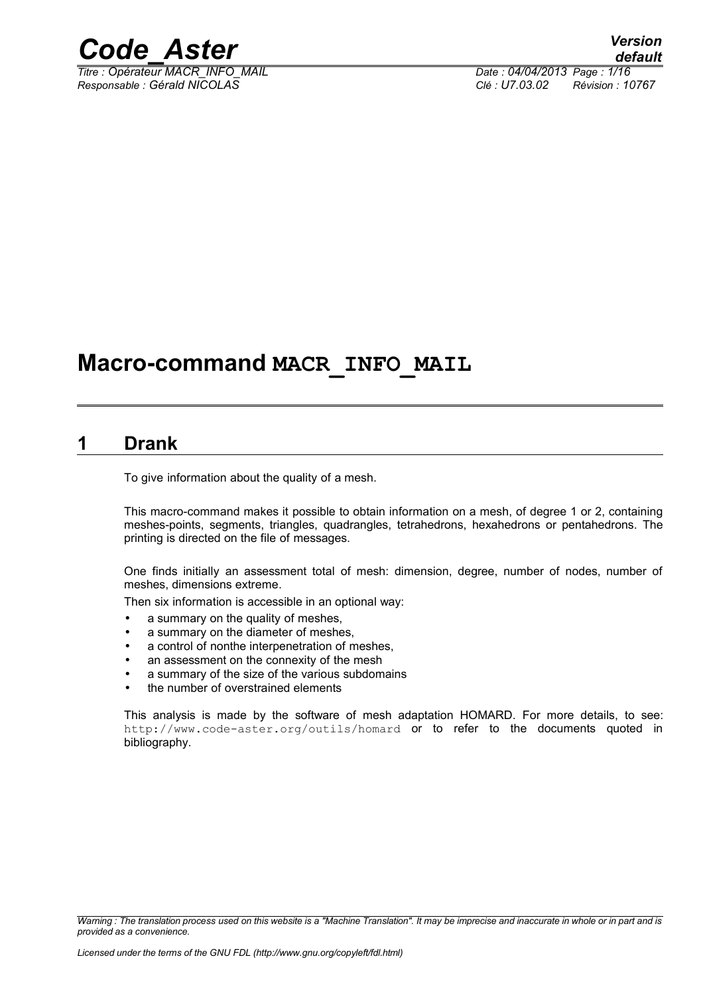

*Titre : Opérateur MACR\_INFO\_MAIL Date : 04/04/2013 Page : 1/16 Responsable : Gérald NICOLAS Clé : U7.03.02 Révision : 10767*

### **Macro-command MACR\_INFO\_MAIL**

#### **1 Drank**

<span id="page-0-0"></span>To give information about the quality of a mesh.

This macro-command makes it possible to obtain information on a mesh, of degree 1 or 2, containing meshes-points, segments, triangles, quadrangles, tetrahedrons, hexahedrons or pentahedrons. The printing is directed on the file of messages.

One finds initially an assessment total of mesh: dimension, degree, number of nodes, number of meshes, dimensions extreme.

Then six information is accessible in an optional way:

- a summary on the quality of meshes,
- a summary on the diameter of meshes,
- a control of nonthe interpenetration of meshes,
- an assessment on the connexity of the mesh
- a summary of the size of the various subdomains
- the number of overstrained elements

This analysis is made by the software of mesh adaptation HOMARD. For more details, to see: http://www.code-aster.org/outils/homard or to refer to the documents quoted in bibliography.

*Warning : The translation process used on this website is a "Machine Translation". It may be imprecise and inaccurate in whole or in part and is provided as a convenience.*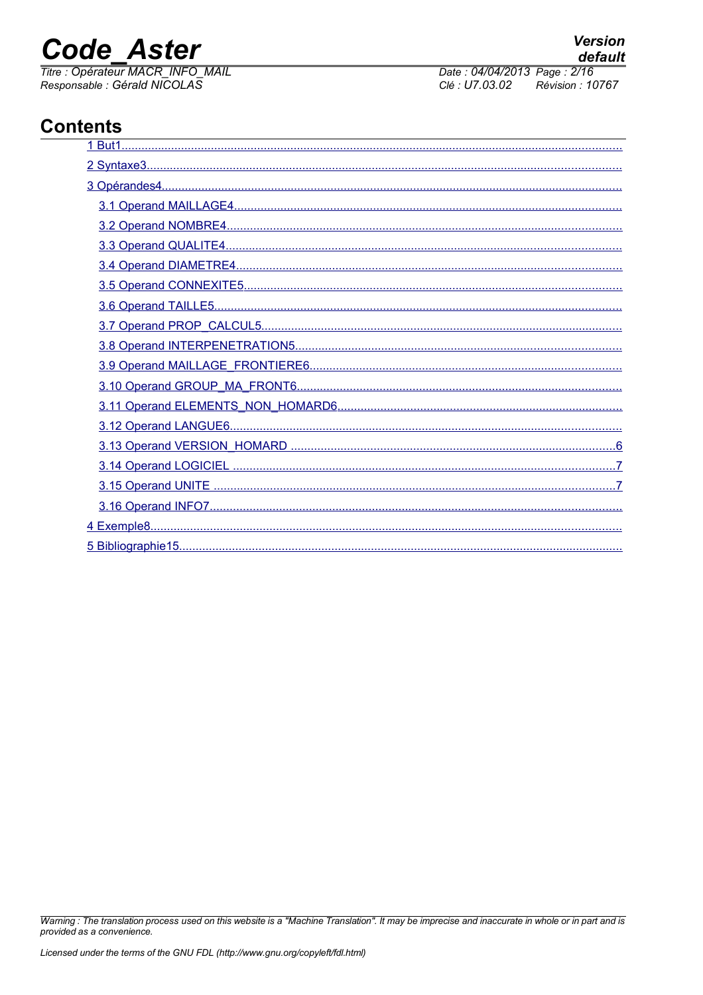Titre : Opérateur MACR INFO MAIL Responsable : Gérald NICOLAS

Date: 04/04/2013 Page: 2/16 Clé : U7.03.02 Révision : 10767

### **Contents**

| 5 Bibliographie 15 |
|--------------------|

Warning : The translation process used on this website is a "Machine Translation". It may be imprecise and inaccurate in whole or in part and is provided as a convenience.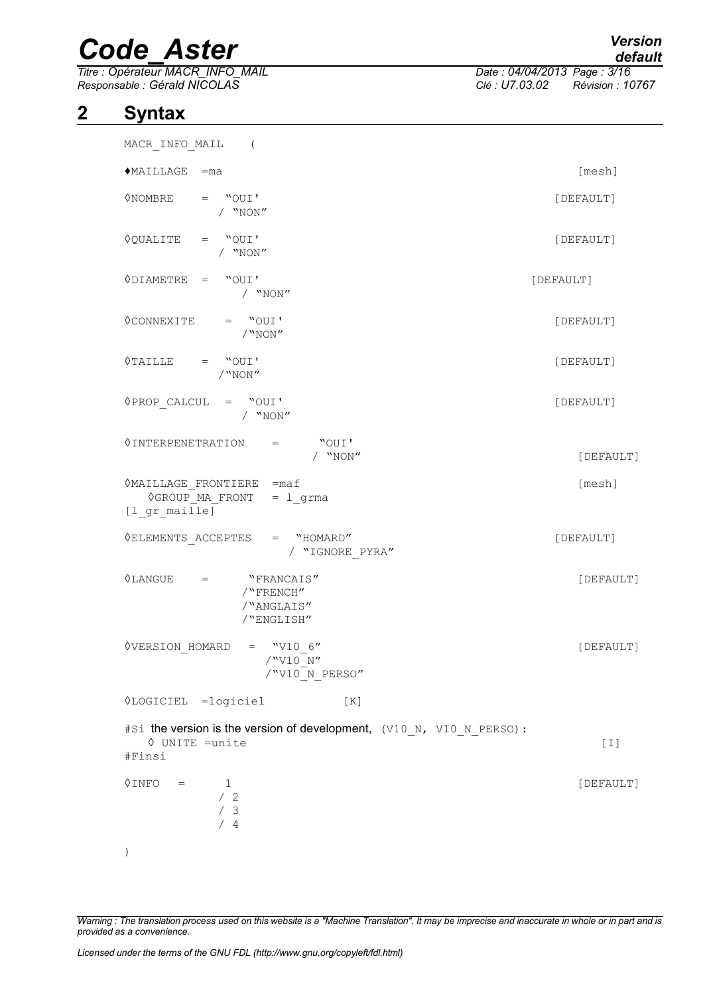*Titre : Opérateur MACR\_INFO\_MAIL Date : 04/04/2013 Page : 3/16 Responsable : Gérald NICOLAS Clé : U7.03.02 Révision : 10767*

#### **2 Syntax**

<span id="page-2-0"></span>

| MACR_INFO_MAIL (                                                                                  |           |
|---------------------------------------------------------------------------------------------------|-----------|
| $MAILLAGE = ma$                                                                                   | [mesh]    |
| $\Diamond$ NOMBRE = "OUI'<br>/ $"NON"$                                                            | [DEFAULT] |
| $\Diamond$ QUALITE = "OUI'<br>/ "NON"                                                             | [DEFAULT] |
| $\Diamond$ DIAMETRE = "OUI'<br>$/$ "NON"                                                          | [DEFAULT] |
| $\Diamond$ CONNEXITE = "OUI'<br>/"NON"                                                            | [DEFAULT] |
| $\Diamond TAILLE$ = "OUI'<br>/"NON"                                                               | [DEFAULT] |
| $\Diamond$ PROP_CALCUL = "OUI'<br>/ $\,$ "NON"                                                    | [DEFAULT] |
| $\Diamond$ INTERPENETRATION =<br>"OUI'<br>/ $"NON"$                                               | [DEFAULT] |
| $\Diamond$ MAILLAGE FRONTIERE = maf<br><b>OGROUP MA FRONT</b><br>$= 1$ grma<br>$[1_{gr\_maille}]$ | [mesh]    |
| $\Diamond {\tt ELEMENTS\_ACCEPTES} \hspace{20pt} = \hspace{20pt} ``HOMARD''$<br>/ "IGNORE_PYRA"   | [DEFAULT] |
| $\Diamond$ LANGUE = "FRANCAIS"<br>/"FRENCH"<br>/"ANGLAIS"<br>/"ENGLISH"                           | [DEFAULT] |
| $\Diamond$ VERSION HOMARD = "V10 6"<br>/"V10 N"<br>/"V10 N PERSO"                                 | [DEFAULT] |
| <b>VLOGICIEL</b> = logiciel<br>[K]                                                                |           |
| #Si the version is the version of development, (V10 N, V10 N PERSO) :<br>♦ UNITE =unite<br>#Finsi | $[1]$     |
| <b>OINFO</b><br>1<br>$=$<br>/2<br>/3<br>/4                                                        | [DEFAULT] |
|                                                                                                   |           |

*Warning : The translation process used on this website is a "Machine Translation". It may be imprecise and inaccurate in whole or in part and is provided as a convenience.*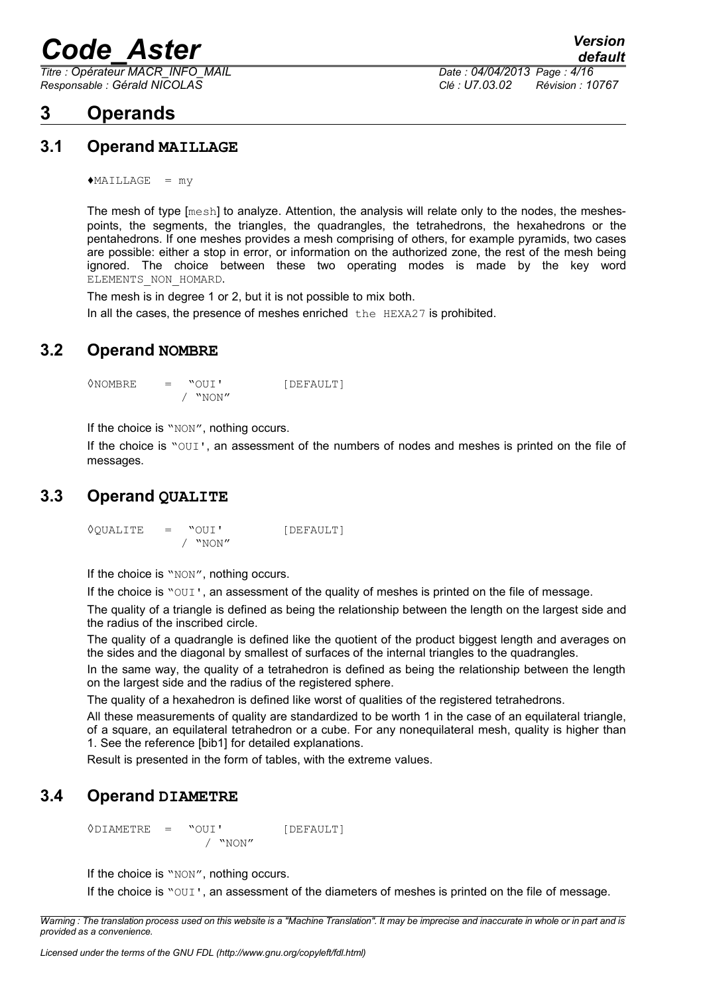*Titre : Opérateur MACR\_INFO\_MAIL Date : 04/04/2013 Page : 4/16*

#### <span id="page-3-4"></span>**3 Operands**

*Responsable : Gérald NICOLAS Clé : U7.03.02 Révision : 10767*

#### **3.1 Operand MAILLAGE**

<span id="page-3-3"></span> $*$ MAILLAGE = my

The mesh of type [mesh] to analyze. Attention, the analysis will relate only to the nodes, the meshespoints, the segments, the triangles, the quadrangles, the tetrahedrons, the hexahedrons or the pentahedrons. If one meshes provides a mesh comprising of others, for example pyramids, two cases are possible: either a stop in error, or information on the authorized zone, the rest of the mesh being ignored. The choice between these two operating modes is made by the key word ELEMENTS NON HOMARD.

The mesh is in degree 1 or 2, but it is not possible to mix both. In all the cases, the presence of meshes enriched the HEXA27 is prohibited.

#### **3.2 Operand NOMBRE**

<span id="page-3-2"></span>◊NOMBRE = "OUI' [DEFAULT] / "NON"

If the choice is "NON", nothing occurs.

If the choice is "OUI', an assessment of the numbers of nodes and meshes is printed on the file of messages.

#### **3.3 Operand QUALITE**

<span id="page-3-1"></span>◊QUALITE = "OUI' [DEFAULT] / "NON"

If the choice is "NON", nothing occurs.

If the choice is "OUI', an assessment of the quality of meshes is printed on the file of message.

The quality of a triangle is defined as being the relationship between the length on the largest side and the radius of the inscribed circle.

The quality of a quadrangle is defined like the quotient of the product biggest length and averages on the sides and the diagonal by smallest of surfaces of the internal triangles to the quadrangles.

In the same way, the quality of a tetrahedron is defined as being the relationship between the length on the largest side and the radius of the registered sphere.

The quality of a hexahedron is defined like worst of qualities of the registered tetrahedrons.

All these measurements of quality are standardized to be worth 1 in the case of an equilateral triangle, of a square, an equilateral tetrahedron or a cube. For any nonequilateral mesh, quality is higher than 1. See the reference [bib1] for detailed explanations.

<span id="page-3-0"></span>Result is presented in the form of tables, with the extreme values.

#### **3.4 Operand DIAMETRE**

◊DIAMETRE = "OUI' [DEFAULT] / "NON"

If the choice is "NON", nothing occurs.

If the choice is "OUI', an assessment of the diameters of meshes is printed on the file of message.

*Warning : The translation process used on this website is a "Machine Translation". It may be imprecise and inaccurate in whole or in part and is provided as a convenience.*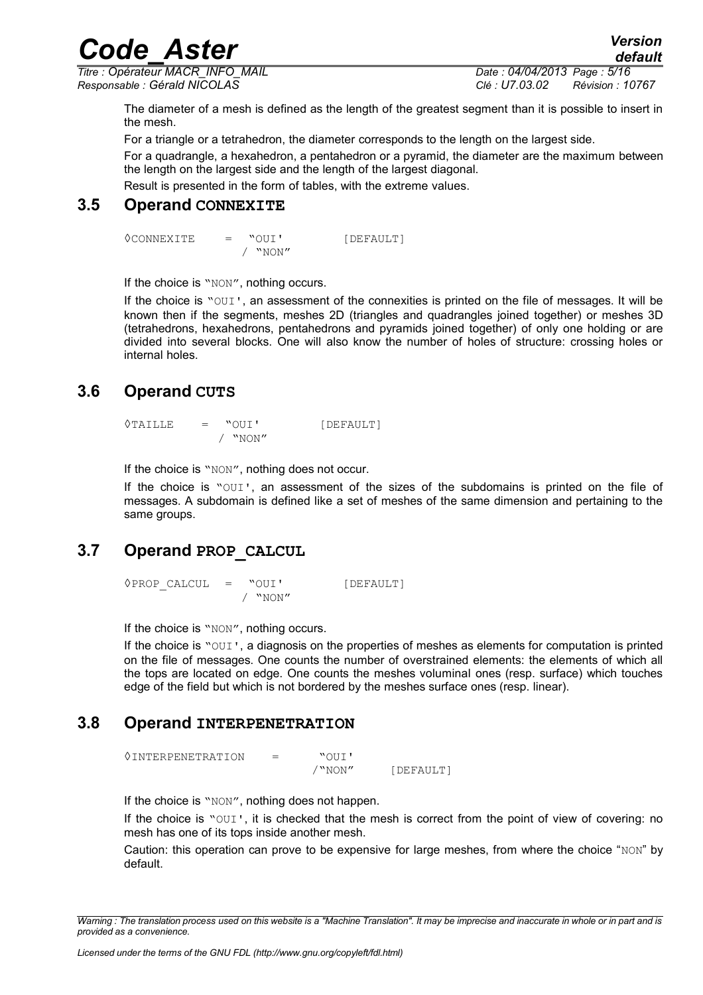*Code\_Aster Version Titre : Opérateur MACR\_INFO\_MAIL Date : 04/04/2013 Page : 5/16 Responsable : Gérald NICOLAS Clé : U7.03.02 Révision : 10767*

*default*

The diameter of a mesh is defined as the length of the greatest segment than it is possible to insert in the mesh.

For a triangle or a tetrahedron, the diameter corresponds to the length on the largest side.

For a quadrangle, a hexahedron, a pentahedron or a pyramid, the diameter are the maximum between the length on the largest side and the length of the largest diagonal.

<span id="page-4-3"></span>Result is presented in the form of tables, with the extreme values.

#### **3.5 Operand CONNEXITE**

◊CONNEXITE = "OUI' [DEFAULT] / "NON"

If the choice is "NON", nothing occurs.

If the choice is "OUI', an assessment of the connexities is printed on the file of messages. It will be known then if the segments, meshes 2D (triangles and quadrangles joined together) or meshes 3D (tetrahedrons, hexahedrons, pentahedrons and pyramids joined together) of only one holding or are divided into several blocks. One will also know the number of holes of structure: crossing holes or internal holes.

#### **3.6 Operand CUTS**

<span id="page-4-2"></span>◊TAILLE = "OUI' [DEFAULT] / "NON"

If the choice is "NON", nothing does not occur.

If the choice is "OUI', an assessment of the sizes of the subdomains is printed on the file of messages. A subdomain is defined like a set of meshes of the same dimension and pertaining to the same groups.

#### **3.7 Operand PROP\_CALCUL**

<span id="page-4-1"></span>◊PROP\_CALCUL = "OUI' [DEFAULT] / "NON"

If the choice is "NON", nothing occurs.

If the choice is "OUI', a diagnosis on the properties of meshes as elements for computation is printed on the file of messages. One counts the number of overstrained elements: the elements of which all the tops are located on edge. One counts the meshes voluminal ones (resp. surface) which touches edge of the field but which is not bordered by the meshes surface ones (resp. linear).

#### **3.8 Operand INTERPENETRATION**

<span id="page-4-0"></span>◊INTERPENETRATION = "OUI' /"NON" [DEFAULT]

If the choice is "NON", nothing does not happen.

If the choice is "OUI', it is checked that the mesh is correct from the point of view of covering: no mesh has one of its tops inside another mesh.

Caution: this operation can prove to be expensive for large meshes, from where the choice " $NON$ " by default.

*Warning : The translation process used on this website is a "Machine Translation". It may be imprecise and inaccurate in whole or in part and is provided as a convenience.*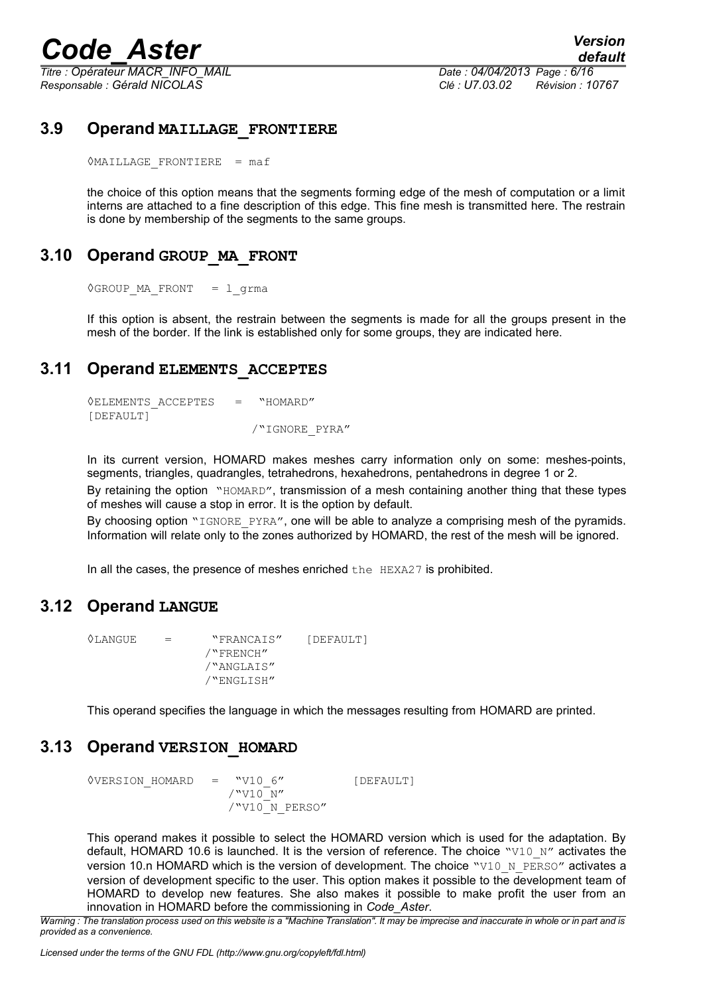*Titre : Opérateur MACR\_INFO\_MAIL Date : 04/04/2013 Page : 6/16 Responsable : Gérald NICOLAS Clé : U7.03.02 Révision : 10767*

#### **3.9 Operand MAILLAGE\_FRONTIERE**

<span id="page-5-4"></span> $\Diamond$ MAILLAGE FRONTIERE = maf

the choice of this option means that the segments forming edge of the mesh of computation or a limit interns are attached to a fine description of this edge. This fine mesh is transmitted here. The restrain is done by membership of the segments to the same groups.

#### **3.10 Operand GROUP\_MA\_FRONT**

<span id="page-5-3"></span>◊GROUP\_MA\_FRONT = l\_grma

If this option is absent, the restrain between the segments is made for all the groups present in the mesh of the border. If the link is established only for some groups, they are indicated here.

#### **3.11 Operand ELEMENTS\_ACCEPTES**

<span id="page-5-2"></span>◊ELEMENTS\_ACCEPTES = "HOMARD" [DEFAULT] /"IGNORE\_PYRA"

In its current version, HOMARD makes meshes carry information only on some: meshes-points, segments, triangles, quadrangles, tetrahedrons, hexahedrons, pentahedrons in degree 1 or 2.

By retaining the option "HOMARD", transmission of a mesh containing another thing that these types of meshes will cause a stop in error. It is the option by default.

By choosing option "IGNORE PYRA", one will be able to analyze a comprising mesh of the pyramids. Information will relate only to the zones authorized by HOMARD, the rest of the mesh will be ignored.

<span id="page-5-1"></span>In all the cases, the presence of meshes enriched the HEXA27 is prohibited.

#### **3.12 Operand LANGUE**

◊LANGUE = "FRANCAIS" [DEFAULT] /"FRENCH" /"ANGLAIS" /"ENGLISH"

<span id="page-5-0"></span>This operand specifies the language in which the messages resulting from HOMARD are printed.

#### **3.13 Operand VERSION\_HOMARD**

 $\sqrt[6]{VERSION HOMARD}$  = "V10 6" [DEFAULT]  $/$ "V10 $^-$ N" /"V10<sup>-</sup>N\_PERSO"

This operand makes it possible to select the HOMARD version which is used for the adaptation. By default, HOMARD 10.6 is launched. It is the version of reference. The choice "V10 N" activates the version 10.n HOMARD which is the version of development. The choice "V10 N PERSO" activates a version of development specific to the user. This option makes it possible to the development team of HOMARD to develop new features. She also makes it possible to make profit the user from an innovation in HOMARD before the commissioning in *Code\_Aster*.

*Warning : The translation process used on this website is a "Machine Translation". It may be imprecise and inaccurate in whole or in part and is provided as a convenience.*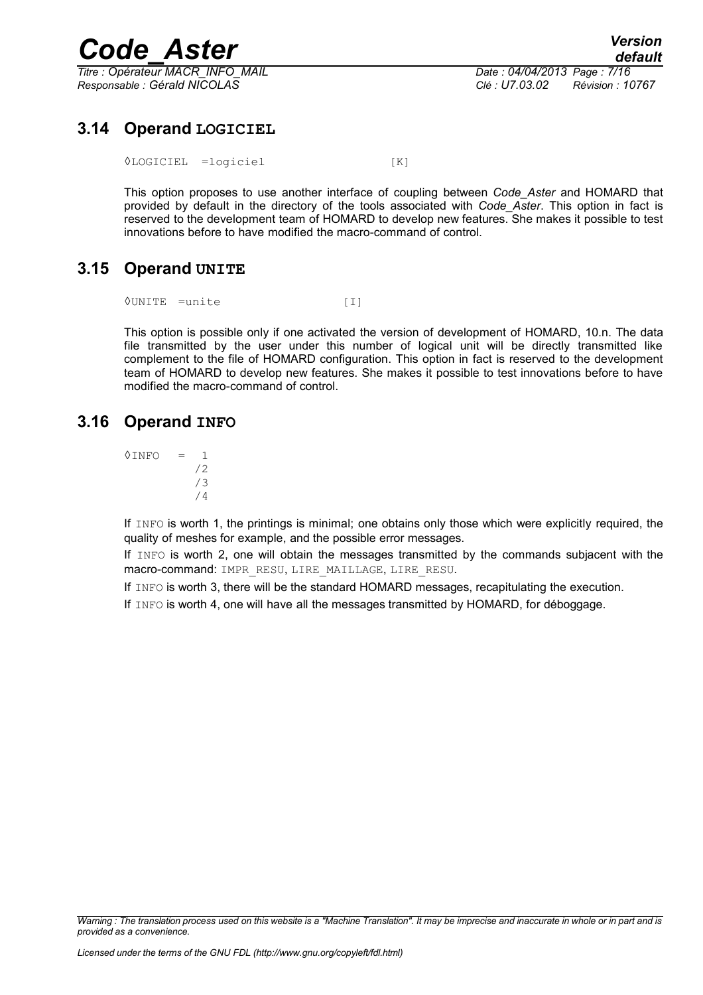

*Titre : Opérateur MACR\_INFO\_MAIL Date : 04/04/2013 Page : 7/16 Responsable : Gérald NICOLAS Clé : U7.03.02 Révision : 10767*

*default*

#### **3.14 Operand LOGICIEL**

<span id="page-6-2"></span>◊LOGICIEL =logiciel [K]

This option proposes to use another interface of coupling between *Code\_Aster* and HOMARD that provided by default in the directory of the tools associated with *Code\_Aster*. This option in fact is reserved to the development team of HOMARD to develop new features. She makes it possible to test innovations before to have modified the macro-command of control.

#### **3.15 Operand UNITE**

<span id="page-6-1"></span>◊UNITE =unite [I]

This option is possible only if one activated the version of development of HOMARD, 10.n. The data file transmitted by the user under this number of logical unit will be directly transmitted like complement to the file of HOMARD configuration. This option in fact is reserved to the development team of HOMARD to develop new features. She makes it possible to test innovations before to have modified the macro-command of control.

#### **3.16 Operand INFO**

<span id="page-6-0"></span> $\Diamond$ INFO = 1 /2 /3 /4

If INFO is worth 1, the printings is minimal; one obtains only those which were explicitly required, the quality of meshes for example, and the possible error messages.

If INFO is worth 2, one will obtain the messages transmitted by the commands subjacent with the macro-command: IMPR\_RESU, LIRE\_MAILLAGE, LIRE\_RESU.

If INFO is worth 3, there will be the standard HOMARD messages, recapitulating the execution.

If INFO is worth 4, one will have all the messages transmitted by HOMARD, for déboggage.

*Warning : The translation process used on this website is a "Machine Translation". It may be imprecise and inaccurate in whole or in part and is provided as a convenience.*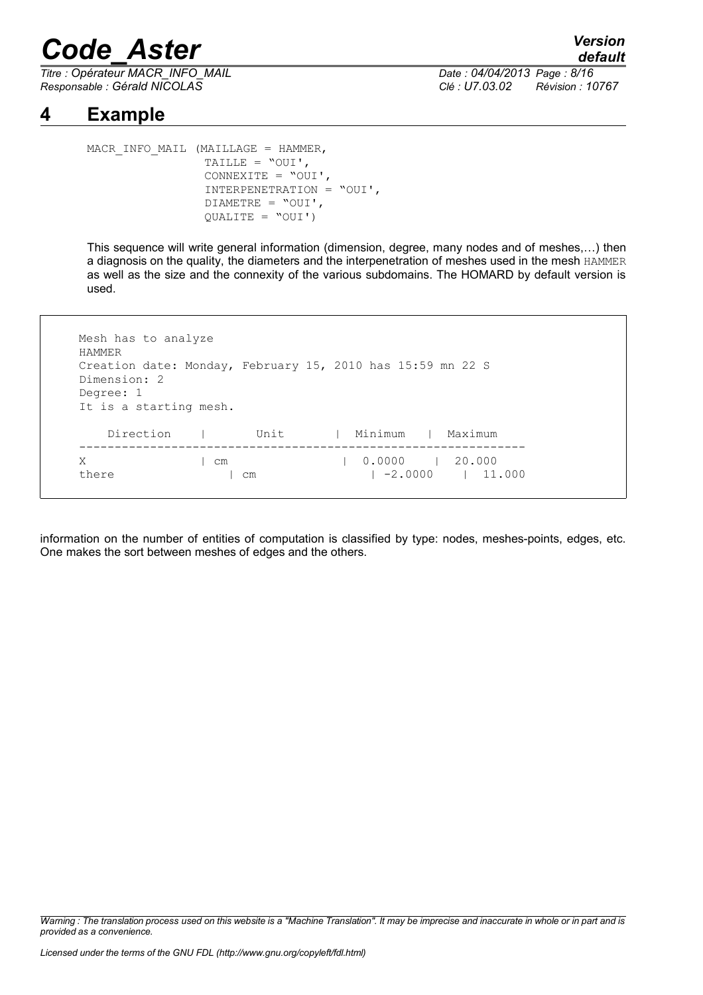*Titre : Opérateur MACR\_INFO\_MAIL Date : 04/04/2013 Page : 8/16 Responsable : Gérald NICOLAS Clé : U7.03.02 Révision : 10767*

#### **4 Example**

```
MACR_INFO_MAIL (MAILLAGE = HAMMER,
                 TAILLE = "OUI', 
                 CONNEXITE = "OUI', 
                 INTERPENETRATION = "OUI', 
                 DIAMETRE = "OUI', 
                 QUALITE = "OUI')
```
This sequence will write general information (dimension, degree, many nodes and of meshes,…) then a diagnosis on the quality, the diameters and the interpenetration of meshes used in the mesh HAMMER as well as the size and the connexity of the various subdomains. The HOMARD by default version is used.

| Creation date: Monday, February 15, 2010 has 15:59 mn 22 S<br>Dimension: 2<br>Degree: 1<br>It is a starting mesh. |      |         |         |
|-------------------------------------------------------------------------------------------------------------------|------|---------|---------|
| Direction                                                                                                         | Unit | Minimum | Maximum |

information on the number of entities of computation is classified by type: nodes, meshes-points, edges, etc. One makes the sort between meshes of edges and the others.

*Warning : The translation process used on this website is a "Machine Translation". It may be imprecise and inaccurate in whole or in part and is provided as a convenience.*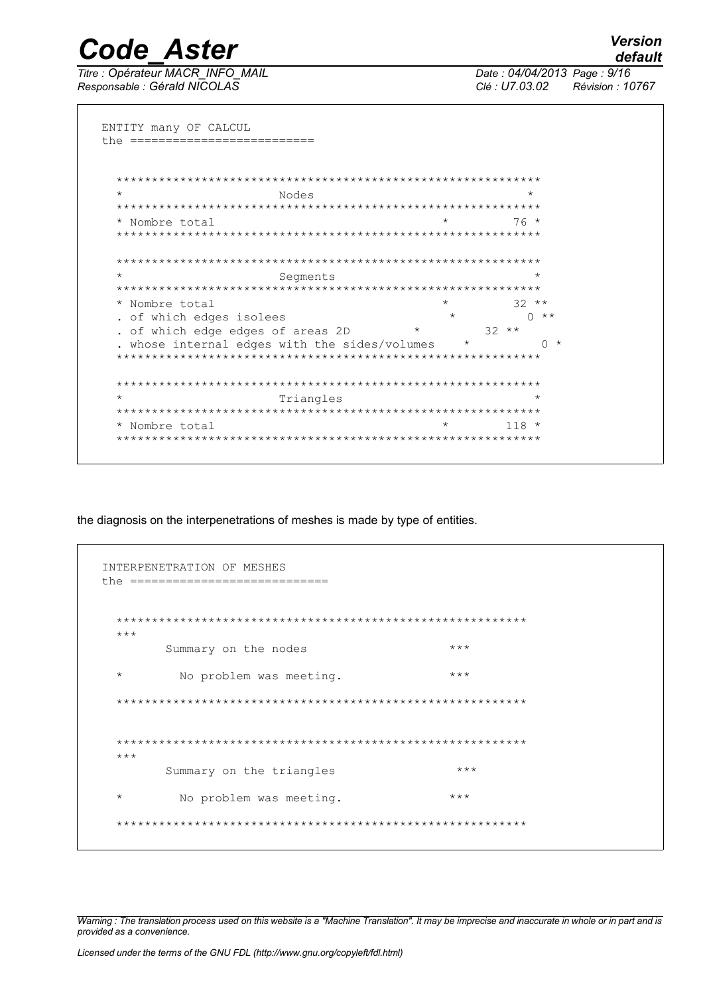**Code Aster** Titre : Opérateur MACR INFO MAIL

Responsable : Gérald NICOLAS

Date: 04/04/2013 Page: 9/16 Clé : U7.03.02 Révision : 10767

ENTITY many OF CALCUL the ==========================  $\star$ Nodes  $\star$ \* Nombre total  $76*$ Segments  $32**$ \* Nombre total  $0$  \*\* . of which edges isolees . of which edge edges of areas 2D  $32**$  $\star$ whose internal edges with the sides/volumes \*  $0 *$ Triangles  $\star$ \* Nombre total  $118 *$ 

the diagnosis on the interpenetrations of meshes is made by type of entities.

| $***$   |                          |       |  |
|---------|--------------------------|-------|--|
|         | Summary on the nodes     | $***$ |  |
| $\star$ | No problem was meeting.  | $***$ |  |
|         |                          |       |  |
|         |                          |       |  |
| $***$   |                          |       |  |
|         | Summary on the triangles | $***$ |  |
| $\star$ | No problem was meeting.  | $***$ |  |

Warning: The translation process used on this website is a "Machine Translation". It may be imprecise and inaccurate in whole or in part and is provided as a convenience.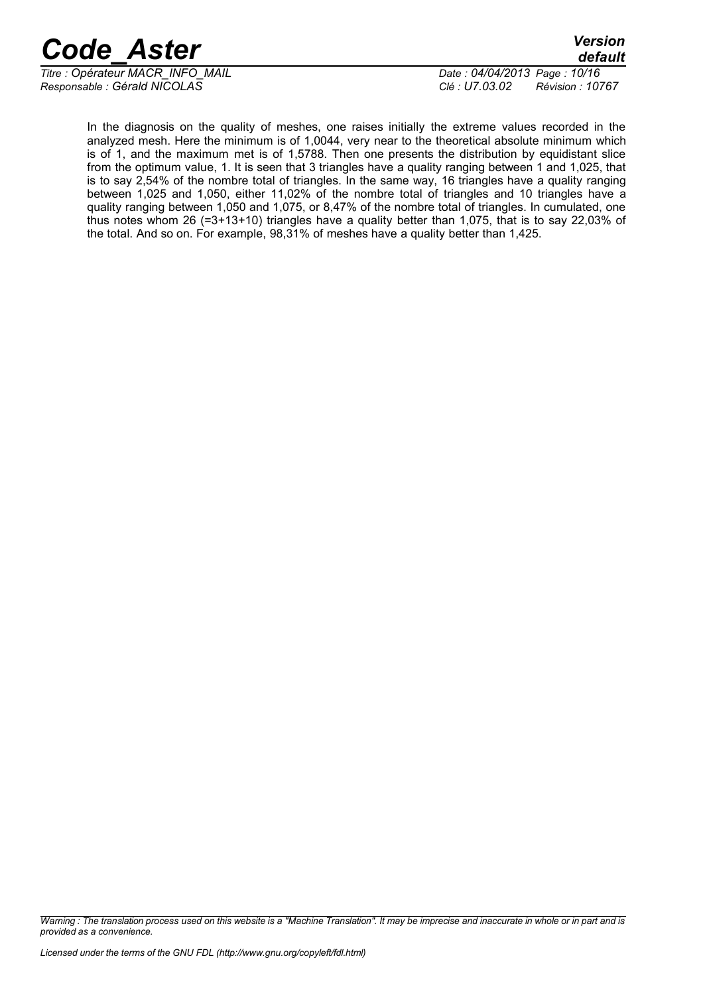*Titre : Opérateur MACR\_INFO\_MAIL Date : 04/04/2013 Page : 10/16 Responsable : Gérald NICOLAS Clé : U7.03.02 Révision : 10767*

*default*

In the diagnosis on the quality of meshes, one raises initially the extreme values recorded in the analyzed mesh. Here the minimum is of 1,0044, very near to the theoretical absolute minimum which is of 1, and the maximum met is of 1,5788. Then one presents the distribution by equidistant slice from the optimum value, 1. It is seen that 3 triangles have a quality ranging between 1 and 1,025, that is to say 2,54% of the nombre total of triangles. In the same way, 16 triangles have a quality ranging between 1,025 and 1,050, either 11,02% of the nombre total of triangles and 10 triangles have a quality ranging between 1,050 and 1,075, or 8,47% of the nombre total of triangles. In cumulated, one thus notes whom 26 (=3+13+10) triangles have a quality better than 1,075, that is to say 22,03% of the total. And so on. For example, 98,31% of meshes have a quality better than 1,425.

*Warning : The translation process used on this website is a "Machine Translation". It may be imprecise and inaccurate in whole or in part and is provided as a convenience.*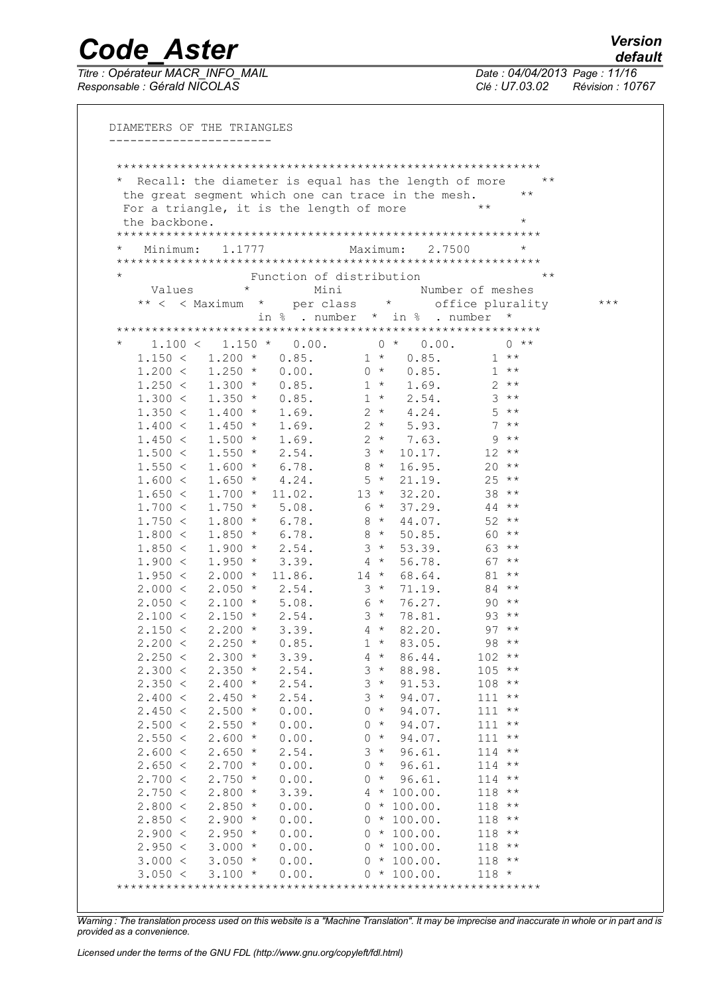Titre : Opérateur MACR\_INFO\_MAIL<br>Responsable : Gérald NICOLAS

Date: 04/04/2013 Page: 11/16 Clé : U7.03.02 Révision : 10767

|                    |                                                 |         |                          |          |                  | * Recall: the diameter is equal has the length of more | $\star \star$ |       |
|--------------------|-------------------------------------------------|---------|--------------------------|----------|------------------|--------------------------------------------------------|---------------|-------|
|                    |                                                 |         |                          |          |                  | the great segment which one can trace in the mesh.     | $\star\star$  |       |
|                    | For a triangle, it is the length of more        |         |                          |          |                  | $\star\star$                                           |               |       |
| the backbone.      |                                                 |         |                          |          |                  |                                                        | $\star$       |       |
|                    |                                                 |         |                          |          |                  |                                                        |               |       |
| $\star$            | Minimum: 1.1777                                 |         |                          | Maximum: |                  | 2.7500                                                 | $\star$       |       |
|                    |                                                 |         |                          |          |                  |                                                        |               |       |
|                    |                                                 |         | Function of distribution |          |                  |                                                        | $\star\star$  |       |
| Values             |                                                 | $\star$ | Mini                     |          |                  | Number of meshes                                       |               |       |
|                    |                                                 |         |                          |          |                  | ** < < Maximum * per class * office plurality          |               | $***$ |
|                    |                                                 |         |                          |          |                  | in $%$ . number $*$ in $%$ . number                    | $\star$       |       |
|                    |                                                 |         |                          |          |                  |                                                        |               |       |
|                    | $1.100 < 1.150 * 0.00.$                         |         |                          |          | $0 * 0.00.$      |                                                        | $0 * *$       |       |
|                    | $1.150 < 1.200 *$                               |         | 0.85.                    | $1 *$    | 0.85.            |                                                        | $1**$         |       |
|                    | $1.200 < 1.250 * 0.00.$                         |         |                          | $0 *$    | 0.85.            |                                                        | $1**$         |       |
|                    | $1.250 < 1.300 *$                               |         | 0.85.                    |          | $1 * 1.69.$      | $2 * *$                                                |               |       |
|                    | $1.300 < 1.350 *$                               |         | 0.85.                    |          | $1 * 2.54.$      | $3***$                                                 |               |       |
|                    | $1.350 < 1.400 * 1.69.$ 2 * 4.24.               |         |                          |          |                  | $5$ **                                                 |               |       |
|                    | $1.400 < 1.450 \times 1.69$ . $2 \times 5.93$ . |         |                          |          |                  | $7***$                                                 |               |       |
|                    | $1.450 < 1.500 < 1.69.$ 2 * 7.63.               |         |                          |          |                  | $9$ **<br>$12***$                                      |               |       |
|                    | $1.500 < 1.550 * 2.54$ .                        |         |                          | $8 *$    | $3 * 10.17$ .    | $20***$                                                |               |       |
|                    | $1.550 < 1.600 * 6.78$ .                        |         |                          | $5 *$    | 16.95.<br>21.19. | $25***$                                                |               |       |
| 1.650 <            | $1.600 < 1.650 * 4.24.$<br>$1.700 *$            |         | 11.02.                   |          | $13 * 32.20.$    | $38***$                                                |               |       |
|                    | $1.700 < 1.750 *$                               |         | 5.08.                    | $6*$     | 37.29.           | $44***$                                                |               |       |
| 1.750 <            | $1.800*$                                        |         | 6.78.                    | $8*$     | 44.07.           | $52$ **                                                |               |       |
| 1.800 <            | $1.850$ *                                       |         | 6.78.                    | $8 *$    | 50.85.           | $60**$                                                 |               |       |
| 1.850 <            | $1.900 *$                                       |         | 2.54.                    | $3 *$    | 53.39.           | 63 **                                                  |               |       |
| 1.900 <            | $1.950 *$                                       |         | 3.39.                    | $4 *$    | 56.78.           | $67$ **                                                |               |       |
|                    | $1.950 < 2.000 *$                               |         | 11.86.                   | $14$ *   | 68.64.           | $81**$                                                 |               |       |
|                    | $2.000 < 2.050 * 2.54$ .                        |         |                          | $3 *$    | 71.19.           | $84$ **                                                |               |       |
|                    | $2.050 < 2.100 * 5.08$ .                        |         |                          | $6*$     | 76.27.           | $90**$                                                 |               |       |
|                    | $2.100 < 2.150 * 2.54$ .                        |         |                          | $3*$     | 78.81.           | $93**$                                                 |               |       |
|                    | $2.150 < 2.200 * 3.39$ .                        |         |                          | $4 *$    | 82.20.           | $97**$                                                 |               |       |
| 2.200 <            | $2.250 *$                                       |         | 0.85.                    | $1 *$    | 83.05.           | $98$ **                                                |               |       |
| 2.250 <            | $2.300 *$                                       |         | 3.39.                    | $4 *$    | 86.44.           | $102**$                                                |               |       |
| 2.300 <            | $2.350*$                                        |         | 2.54.                    | $3 *$    | 88.98.           | $105$ **                                               |               |       |
| 2.350 <            | $2.400*$                                        |         | 2.54.                    | $3 *$    | 91.53.           | $108$ **                                               |               |       |
| 2.400 <            | $2.450*$                                        |         | 2.54.                    | $3 *$    | 94.07.           | 111                                                    | $\star\star$  |       |
| 2.450 <            | $2.500*$                                        |         | 0.00.                    | $0 *$    | 94.07.           | 111                                                    | $\star\star$  |       |
| 2.500 <            | $2.550*$                                        |         | 0.00.                    | $0 *$    | 94.07.           | 111                                                    | $\star\star$  |       |
| 2.550 <            | $2.600*$                                        |         | 0.00.                    | $0 *$    | 94.07.           | 111                                                    | $\star\star$  |       |
| 2.600 <            | $2.650*$                                        |         | 2.54.                    | $3 *$    | 96.61.           | $114$ **                                               |               |       |
| 2.650 <            | $2.700*$                                        |         | 0.00.                    | $0 *$    | 96.61.           | $114$ **                                               |               |       |
| 2.700 <            | $2.750*$                                        |         | 0.00.                    | $0 *$    | 96.61.           | 114                                                    | $\star\star$  |       |
| 2.750 <            | $2.800*$                                        |         | 3.39.                    |          | $4 * 100.00.$    | 118                                                    | $\star\star$  |       |
| 2.800 <            | $2.850*$                                        |         | 0.00.                    |          | $0 * 100.00.$    | 118                                                    | $\star\star$  |       |
| 2.850 <            | $2.900 *$                                       |         | 0.00.                    |          | $0 * 100.00.$    | 118                                                    | $\star\star$  |       |
| 2.900 <            | $2.950*$                                        |         | 0.00.                    |          | $0 * 100.00.$    | $118$ **                                               |               |       |
| 2.950 <<br>3.000 < | $3.000 *$                                       |         | 0.00.                    |          | $0 * 100.00.$    | $118$ **                                               |               |       |
|                    | $3.050*$                                        |         | 0.00.                    |          | $0 * 100.00.$    | $118$ **                                               |               |       |

Warning: The translation process used on this website is a "Machine Translation". It may be imprecise and inaccurate in whole or in part and is provided as a convenience.

Licensed under the terms of the GNU FDL (http://www.gnu.org/copyleft/fdl.html)

**Version** default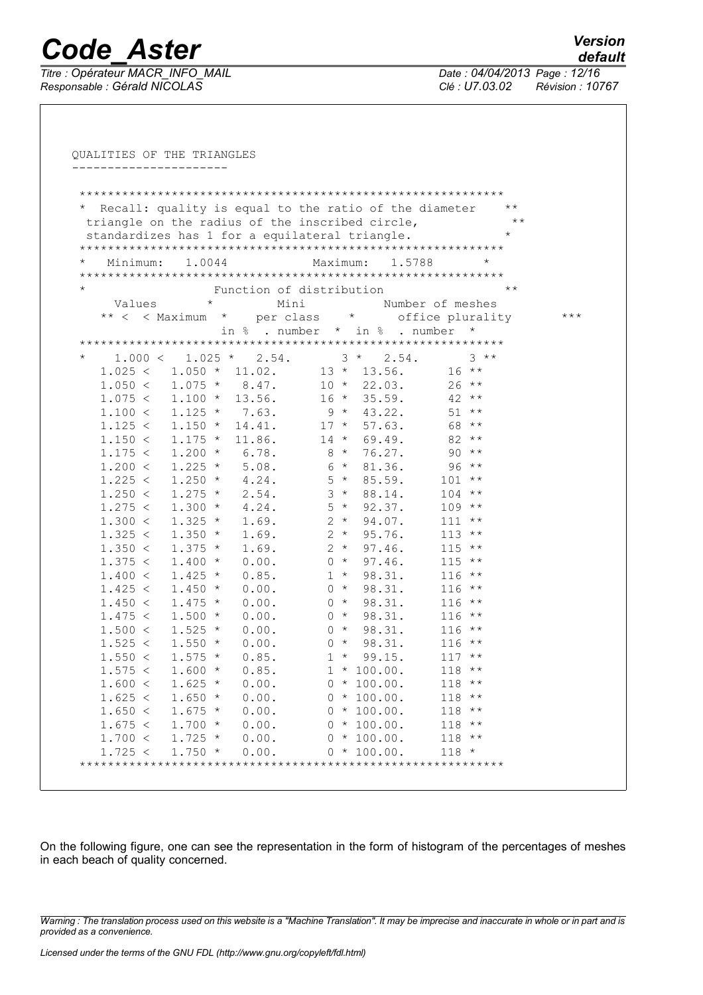Titre : Opérateur MACR\_INFO\_MAIL<br>Responsable : Gérald NICOLAS

Date: 04/04/2013 Page: 12/16 Clé : U7.03.02 Révision : 10767

|          |                                                 |         |                        |         |                 |                |      |                          |       |               |                  | Recall: quality is equal to the ratio of the diameter                          |          | $\star\star$ |       |
|----------|-------------------------------------------------|---------|------------------------|---------|-----------------|----------------|------|--------------------------|-------|---------------|------------------|--------------------------------------------------------------------------------|----------|--------------|-------|
|          | triangle on the radius of the inscribed circle, |         |                        |         |                 |                |      |                          |       |               |                  |                                                                                |          | $+ +$        |       |
|          | standardizes has 1 for a equilateral triangle.  |         |                        |         |                 |                |      |                          |       |               |                  |                                                                                |          | $\star$      |       |
|          |                                                 |         |                        |         |                 |                |      |                          |       |               |                  |                                                                                |          |              |       |
| $^\star$ | Minimum:                                        |         | 1,0044                 |         |                 |                |      | Maximum:                 |       |               |                  | 1,5788                                                                         | $^\star$ |              |       |
| $\star$  |                                                 |         |                        |         |                 |                |      | Function of distribution |       |               |                  |                                                                                |          | $\star\star$ |       |
|          |                                                 |         |                        | $\star$ |                 |                | Mini |                          |       |               |                  | Number of meshes                                                               |          |              |       |
|          | Values                                          |         |                        |         |                 |                |      |                          |       |               |                  |                                                                                |          |              | $***$ |
|          |                                                 |         |                        |         |                 |                |      |                          |       |               |                  | ** < < Maximum * per class * office plurality<br>in % . number * in % . number | $\star$  |              |       |
|          |                                                 |         |                        |         |                 |                |      |                          |       |               |                  |                                                                                |          |              |       |
| $^\star$ |                                                 | 1.000 < |                        |         | $1.025 * 2.54.$ |                |      |                          |       | $3 * 2.54$ .  |                  |                                                                                | $3***$   |              |       |
|          | 1.025 <                                         |         | $1.050 * 11.02.$       |         |                 |                |      |                          |       |               |                  | $13 * 13.56$ .                                                                 | $16***$  |              |       |
|          | $1.050 < 1.075$ *                               |         |                        |         | 8.47.           |                |      |                          |       | $10 * 22.03.$ |                  |                                                                                | $26***$  |              |       |
|          | $1.075 < 1.100 *$                               |         |                        |         | 13.56.          |                |      | $16 *$                   |       | 35.59.        |                  | $42**$                                                                         |          |              |       |
|          | $1.100 < 1.125 * 7.63$ .                        |         |                        |         |                 |                |      |                          |       | $9 * 43.22$ . |                  | $51***$                                                                        |          |              |       |
|          | 1.125 <                                         |         | $1.150 *$              |         |                 |                |      | $14.41.$ $17 * 57.63.$   |       |               |                  | 68 **                                                                          |          |              |       |
|          | 1.150 <                                         |         | $1.175$ *              |         |                 |                |      | $11.86.$ $14 * 69.49.$   |       |               |                  | $82**$                                                                         |          |              |       |
|          | 1.175 <                                         |         | $1.200 *$              |         | 6.78.           |                |      | $8 * 76.27$ .            |       |               |                  | $90**$                                                                         |          |              |       |
|          | 1.200 <                                         |         | $1.225$ *              |         | 5.08.           |                |      | $6 * 81.36.$             |       |               |                  |                                                                                | $96***$  |              |       |
|          | 1.225 <                                         |         | $1.250 *$              |         |                 | 4.24.          |      |                          |       | $5 * 85.59$ . |                  | $101**$                                                                        |          |              |       |
|          | 1.250 <                                         |         | $1.275$ *              |         |                 | 2.54.          |      |                          |       | $3 * 88.14.$  |                  | $104$ **                                                                       |          |              |       |
|          | 1.275 <                                         |         | $1.300 *$              |         |                 | 4.24.          |      |                          |       | $5 * 92.37.$  |                  | $109$ **                                                                       |          |              |       |
|          | 1.300 <                                         |         | $1.325 *$              |         |                 | 1.69.          |      |                          | $2 *$ |               | 94.07.           | $111 *$                                                                        |          |              |       |
|          | 1.325 <                                         |         | $1.350 *$              |         |                 | 1.69.          |      |                          | $2 *$ |               | 95.76.           | $113$ **                                                                       |          |              |       |
|          | 1.350 <                                         |         | $1.375 *$              |         |                 | 1.69.          |      |                          | $2 *$ |               | 97.46.           | $115$ **                                                                       |          |              |       |
|          | 1.375 <                                         |         | $1.400 *$              |         |                 | 0.00.          |      | $0 *$                    |       |               | 97.46.           | $115$ **                                                                       |          |              |       |
|          | 1.400 <                                         |         | $1.425 *$              |         |                 | 0.85.          |      |                          | $1 *$ |               | 98.31.           | $116$ **                                                                       |          |              |       |
|          | 1.425 <                                         |         | $1.450 *$              |         |                 | 0.00.          |      |                          |       | $0 * 98.31.$  |                  | $116$ **                                                                       |          |              |       |
|          | 1.450 <                                         |         | $1.475 *$              |         |                 | 0.00.          |      |                          |       | $0 * 98.31.$  |                  | $116$ **                                                                       |          |              |       |
|          | 1.475 <                                         |         | $1.500 *$              |         |                 | 0.00.          |      |                          |       | $0 * 98.31.$  |                  | $116$ **                                                                       |          |              |       |
|          | 1.500 <                                         |         | $1.525 *$              |         |                 | 0.00.          |      |                          |       | $0 * 98.31.$  |                  | $116$ **                                                                       |          |              |       |
|          | 1.525 <<br>1.550 <                              |         | $1.550 *$              |         |                 | 0.00.          |      | $0 *$                    |       |               | 98.31.<br>99.15. | $116$ **                                                                       |          |              |       |
|          |                                                 |         | $1.575 *$              |         |                 | 0.85.          |      |                          | $1 *$ | $1 * 100.00.$ |                  | $117$ **<br>$118$ **                                                           |          |              |       |
|          | 1.575 <                                         |         | $1.600 *$              |         |                 | 0.85.          |      |                          |       | $0 * 100.00.$ |                  |                                                                                |          |              |       |
|          | 1.600 <<br>1.625 <                              |         | $1.625 *$<br>$1.650 *$ |         |                 | 0.00.<br>0.00. |      |                          |       | $0 * 100.00.$ |                  | $118$ **<br>$118$ **                                                           |          |              |       |
|          | 1.650 <                                         |         | $1.675 *$              |         |                 | 0.00.          |      |                          |       | $0 * 100.00.$ |                  | $118$ **                                                                       |          |              |       |
|          | 1.675 <                                         |         | $1.700 *$              |         |                 | 0.00.          |      |                          |       | $0 * 100.00.$ |                  | $118$ **                                                                       |          |              |       |
|          | 1.700 <                                         |         | $1.725 *$              |         |                 | 0.00.          |      |                          |       | $0 * 100.00.$ |                  | $118$ **                                                                       |          |              |       |
|          | 1.725 <                                         |         | $1.750$ *              |         |                 | 0.00.          |      |                          |       | $0 * 100.00.$ |                  | $118 *$                                                                        |          |              |       |

On the following figure, one can see the representation in the form of histogram of the percentages of meshes in each beach of quality concerned.

Warning : The translation process used on this website is a "Machine Translation". It may be imprecise and inaccurate in whole or in part and is provided as a convenience.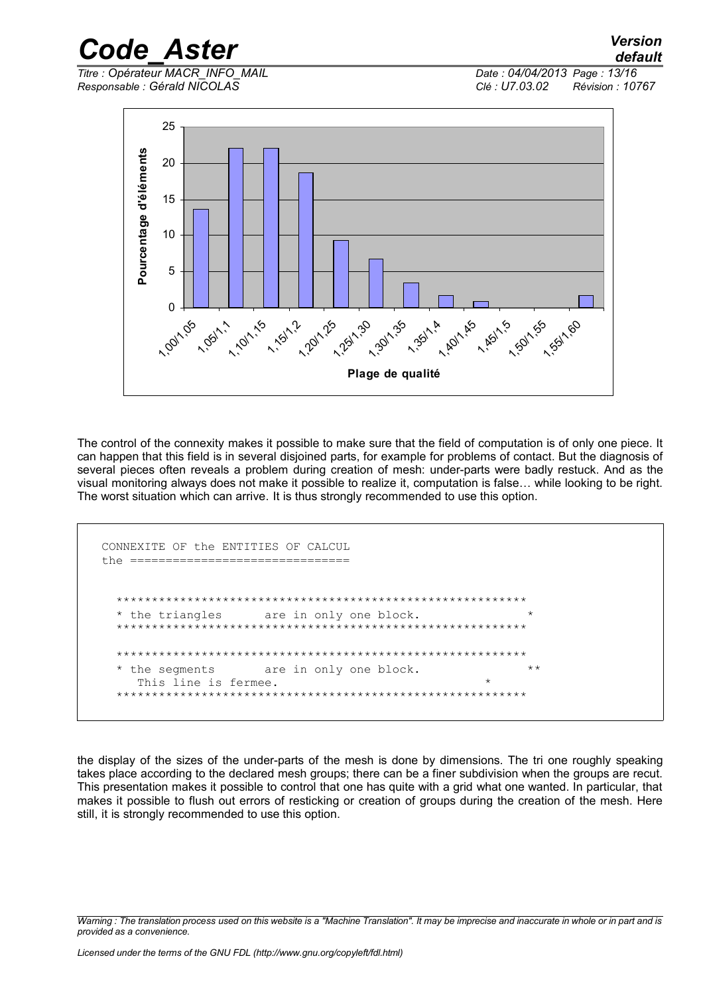#### *Code Aster* Titre : Opérateur MACR INFO MAIL

 $Responsible : Gérald NICOLAS$ 

Date: 04/04/2013 Page: 13/16 Clé : U7.03.02 Révision : 10767

Version

default



The control of the connexity makes it possible to make sure that the field of computation is of only one piece. It can happen that this field is in several disjoined parts, for example for problems of contact. But the diagnosis of several pieces often reveals a problem during creation of mesh: under-parts were badly restuck. And as the visual monitoring always does not make it possible to realize it, computation is false... while looking to be right. The worst situation which can arrive. It is thus strongly recommended to use this option.

```
CONNEXITE OF the ENTITIES OF CALCUL
the ================================
 the triangles
                are in only one block.
   the segments
                are in only one block.
   This line is fermee.
 ******************************
```
the display of the sizes of the under-parts of the mesh is done by dimensions. The tri one roughly speaking takes place according to the declared mesh groups; there can be a finer subdivision when the groups are recut. This presentation makes it possible to control that one has quite with a grid what one wanted. In particular, that makes it possible to flush out errors of resticking or creation of groups during the creation of the mesh. Here still, it is strongly recommended to use this option.

Warning: The translation process used on this website is a "Machine Translation". It may be imprecise and inaccurate in whole or in part and is provided as a convenience.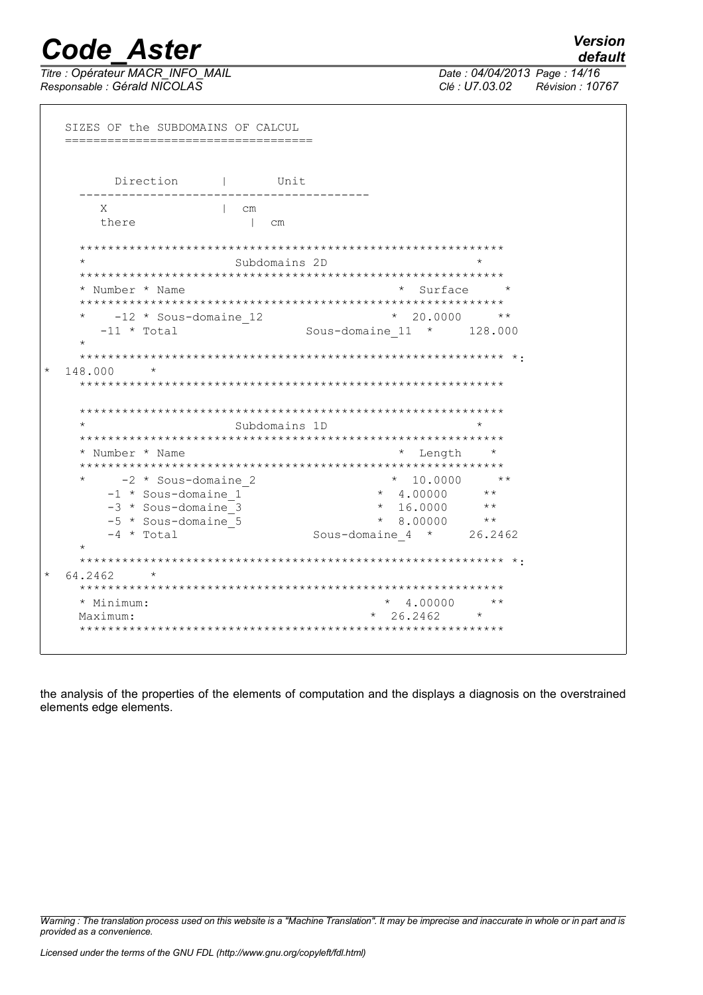Titre : Opérateur MACR\_INFO\_MAIL<br>Responsable : Gérald NICOLAS

**Version** 

| Direction                           | Unit                                    |
|-------------------------------------|-----------------------------------------|
| X<br>$\vert$ cm                     |                                         |
| there<br>$\mathbb{R}$               | $\mathsf{cm}$                           |
|                                     |                                         |
| $\star$                             | $\star$<br>Subdomains 2D                |
|                                     |                                         |
| * Number * Name                     | $*$ Surface $*$                         |
|                                     |                                         |
| -12 * Sous-domaine 12               | $*$ 20,0000<br>$\star \star$            |
| $-11 * Total$<br>$\star$            | Sous-domaine $11 \times 128.000$        |
|                                     |                                         |
|                                     |                                         |
| $^\star$                            |                                         |
| 148.000                             |                                         |
|                                     |                                         |
|                                     |                                         |
| $\star$                             | Subdomains 1D                           |
|                                     |                                         |
| * Number * Name                     | $\star$<br>$^\star$<br>Length           |
|                                     |                                         |
|                                     | $+ +$<br>$\star$                        |
| -2 * Sous-domaine 2                 | 10.0000<br>$* 4.00000$<br>$\star \star$ |
| -1 * Sous-domaine 1                 | $\star \star$                           |
| -3 * Sous-domaine 3                 | $* 16.0000$<br>$\star \star$            |
| -5 * Sous-domaine_5<br>$-4$ * Total | $* 8.00000$                             |
|                                     | Sous-domaine $4 * 26.2462$              |
|                                     |                                         |
| 64.2462<br>$\star$                  |                                         |
|                                     |                                         |
| * Minimum:                          | 4.00000<br>$\star\star$<br>$\star$      |

the analysis of the properties of the elements of computation and the displays a diagnosis on the overstrained elements edge elements.

Warning : The translation process used on this website is a "Machine Translation". It may be imprecise and inaccurate in whole or in part and is provided as a convenience.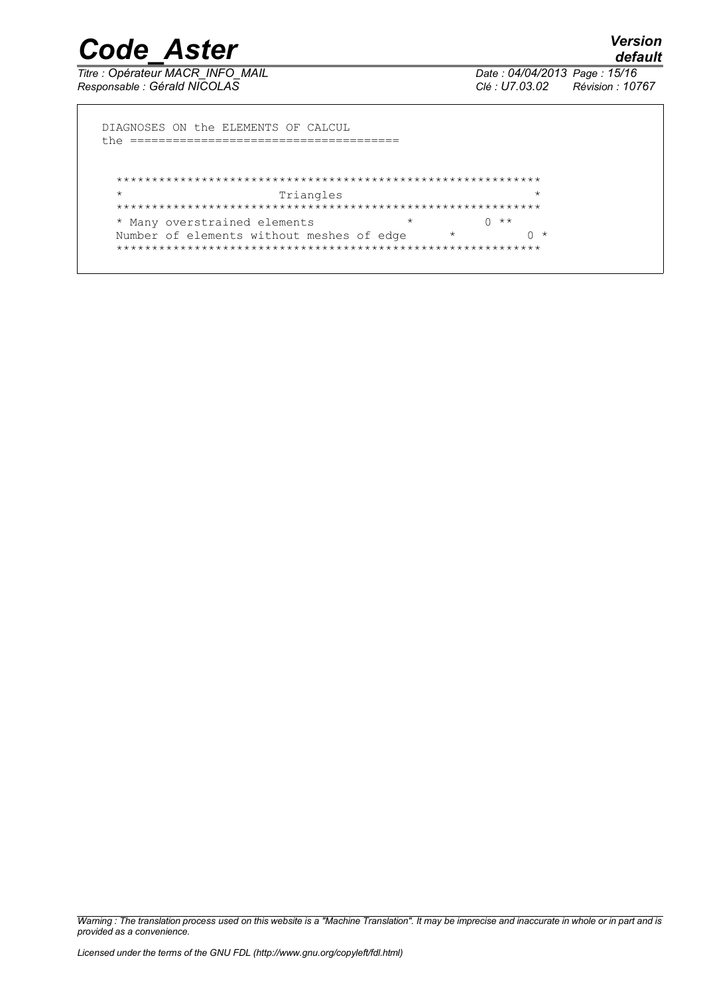Titre : Opérateur MACR INFO MAIL Responsable : Gérald NICOLAS

Date: 04/04/2013 Page: 15/16 Clé : U7.03.02 Révision : 10767

DIAGNOSES ON the ELEMENTS OF CALCUL  $\star$ Triangles  $\star$ \* Many overstrained elements  $\star$  $0 * *$ Number of elements without meshes of edge  $\star$  $0 *$ 

Warning : The translation process used on this website is a "Machine Translation". It may be imprecise and inaccurate in whole or in part and is provided as a convenience.